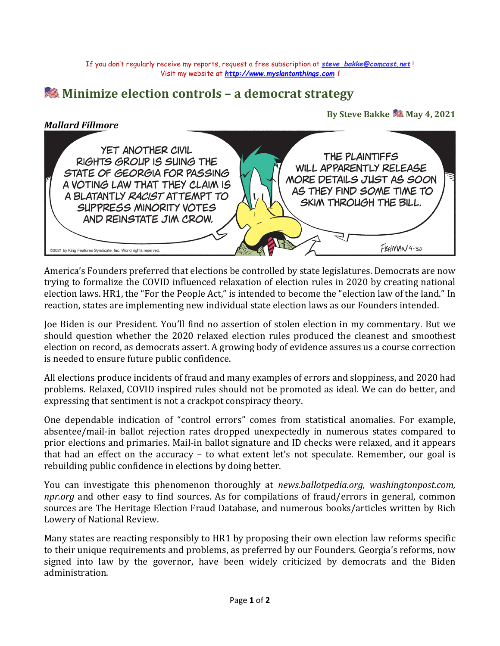If you don't regularly receive my reports, request a free subscription at *[steve\\_bakke@comcast.net](mailto:steve_bakke@comcast.net)* ! Visit my website at *[http://www.myslantonthings.com](http://www.myslantonthings.com/) !*

## **Minimize election controls – a democrat strategy**

## By Steve Bakke **May 4, 2021**

## *Mallard Fillmore*



America's Founders preferred that elections be controlled by state legislatures. Democrats are now trying to formalize the COVID influenced relaxation of election rules in 2020 by creating national election laws. HR1, the "For the People Act," is intended to become the "election law of the land." In reaction, states are implementing new individual state election laws as our Founders intended.

Joe Biden is our President. You'll find no assertion of stolen election in my commentary. But we should question whether the 2020 relaxed election rules produced the cleanest and smoothest election on record, as democrats assert. A growing body of evidence assures us a course correction is needed to ensure future public confidence.

All elections produce incidents of fraud and many examples of errors and sloppiness, and 2020 had problems. Relaxed, COVID inspired rules should not be promoted as ideal. We can do better, and expressing that sentiment is not a crackpot conspiracy theory.

One dependable indication of "control errors" comes from statistical anomalies. For example, absentee/mail-in ballot rejection rates dropped unexpectedly in numerous states compared to prior elections and primaries. Mail-in ballot signature and ID checks were relaxed, and it appears that had an effect on the accuracy – to what extent let's not speculate. Remember, our goal is rebuilding public confidence in elections by doing better.

You can investigate this phenomenon thoroughly at *news.ballotpedia.org, washingtonpost.com, npr.org* and other easy to find sources. As for compilations of fraud/errors in general, common sources are The Heritage Election Fraud Database, and numerous books/articles written by Rich Lowery of National Review.

Many states are reacting responsibly to HR1 by proposing their own election law reforms specific to their unique requirements and problems, as preferred by our Founders. Georgia's reforms, now signed into law by the governor, have been widely criticized by democrats and the Biden administration.